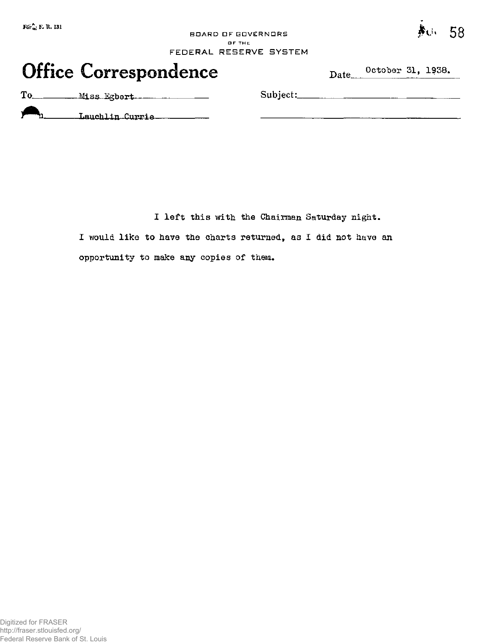BOARD DF GOVERNORS OF THE FEDERAL RESERVE SYSTEM

# Office Correspondence Date October 31, 1938.

**58** 

To Miss Egbert Subject:

Lauchlin Currie

**I left this with the Chairman Saturday night.** 

**I would like to have the charts returned, as I did not have an opportunity to make any copies of them\***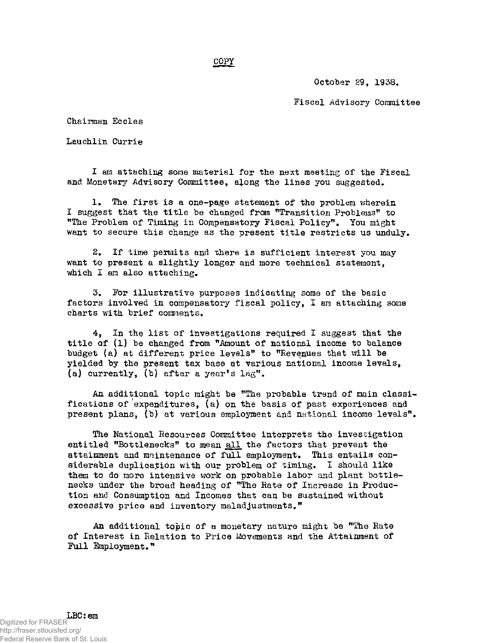**COPY** 

**October 29, 1938.** 

**Fiscal Advisory Committee** 

**Chairman Eccles** 

**Lauchlin Currie** 

**I am attaching some material for the next meeting of the Fiscal and Monetary Advisory Committee, aiong the lines you suggested.** 

**1. The first is a one-page statement of the problem wherein I suggest that the title be changed from "Transition Problems" to "The Problem of Timing in Compensatory Fiscal Policy", You might want to secure this change as the present title restricts us unduly.** 

**2. If time permits and there is sufficient interest you may want to present a slightly longer and more technical statement, which I am also attaching.** 

3. For illustrative purposes indicating some of the basic factors involved in compensatory fiscal policy, I am attaching some charts with brief comments.

**4. In the list of investigations required I suggest that the title of (1) be changed from "Amount of national income to balance budget (a) at different price levels" to "Revenues that will be yielded by the present tax base at various national income levels, (a) currently, (b) after a year\*s lag".** 

**An additional topic might be "The probable trend of main classifications of expenditures, (a) on the basis of past experiences and present plans, (b) at various employment and national income levels".** 

**The National Resources Committee interprets the investigation entitled "Bottlenecks" to mean all the factors that prevent the attainment and maintenance of full employment. This entails considerable duplication with our problem of timing. I should like them to do more intensive work on probable labor and plant bottlenecks under the broad heading of "The Rate of Increase in Production and Consumption and Incomes that can be sustained without excessive price and inventory maladjustments."** 

**An additional topic of a monetary nature might be "The Rate of Interest in Relation to Price Movements and the Attainment of Full Employment."**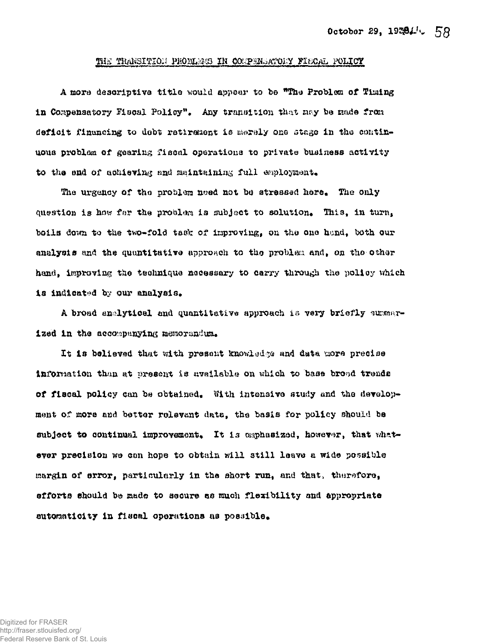#### THE TRANSITION PROBLEMS IN COMPENSATORY FIECAL POLICY

A more descriptive title would appear to be "The Problem of Timing in Compensatory Fiscal Policy". Any transition that may be made from deficit financing to debt retirement is merely one stage in the continuous problam of gearing fiscal operations to private business activity to the end of achieving and maintaining full employment.

The urgency of the problem need not be stressed here. The only question is how far the problem is subject to solution. This, in turn, boils down to the two-fold task of improving, on the one hand, both our analysis and the quantitative approach to the problem and, on the other hand, improving the technique necessary to carry through the policy which is indicated by our analysis.

A broad analytical and quantitative approach is very briefly summarized in the accompanying memorandum.

It is believed that with present knowledge and data more precise information than at present is available on which to base broad trends of fiscal policy can be obtained. With intensive study and the development of more and better relevant data, the basis for policy should be subject to continual improvement. It is exphasized, however, that whatever precision we con hope to obtain will still leave a wide possible margin of error, particularly in the short run, and that, therefore. efforts should be made to secure as much flexibility and appropriate automaticity in fiscal operations as possible.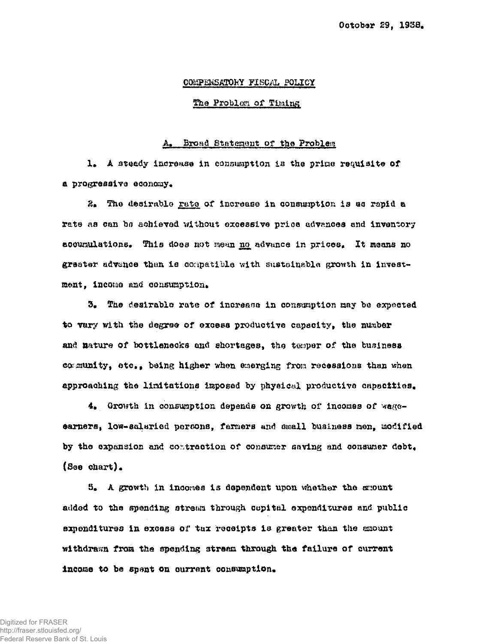## COMPENSATORY FISCAL POLICY

#### The Problem of Timing

#### Broad Statement of the Problem

1. A steady increase in consumption is the prime requisite of a progressive economy.

2. The desirable rate of increase in consumption is as rapid a rate as can be achieved without excessive price advances and inventory accumulations. This does not mean no advance in prices. It means no greater advence than is compatible with sustainable growth in investment, income and consumption.

3. The desirable rate of increase in consumption may be expected to vary with the degree of excess productive capscity, the number and nature of bottlenecks and shortages, the temper of the business comunity, etc., being higher when emerging from recessions than when approaching the limitations imposed by physical productive capacities.

4. Growth in consumption depends on growth of incomes of wageearners, low-salaried persons, farmers and small business men, modified by the expansion and contraction of consumer saving and consumer debt. (See chart).

5. A growth in incomes is dependent upon whether the amount added to the spending stream through copital expenditures and public expenditures in excess of tax receipts is greater than the amount withdrawn from the spending stream through the failure of current income to be spant on current consumption.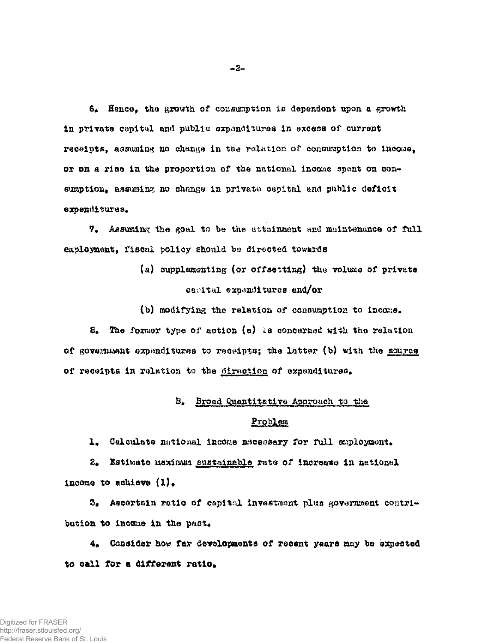$6$ <sup>#</sup> Hence, the growth of consumption is dependent upon a growth **In private capital and public expenditures in excess of currant receipts, assuming no change in** the relation of **consumption to income, or on a rise in the proportion of** the **national income** spent **on** con**sumption, assuming no change in private capital and public deficit expenditures.** 

**Assuming the goal** to **be the** attainment and **maintenance of full**  eaployment, fiscal policy should be directed towards

> (a) supplementing (or offsetting) the volume of private **capital expenditures and/or**

(b) modifying the relation of consumption to income.

**S#** *The* **former type of action (a) is concerned with the relation of govesimant expenditures to receipts; the latter (b) with the source of receipts in relation to the direction of expenditure^** 

# B. Broad Quantitative Approach to the

# **Problem**

1. Calculate national income necessary for full employment.

**S# Sstimate maximum sustaimble rata of increase In national**  income to achieve  $(1)$ .

**Ascertain ratio of capital investment plus government contri**bution to income in the past.

**4# Consider how far developments of recent ye&re may be expected**  to call for a different ratio.

 $-3-$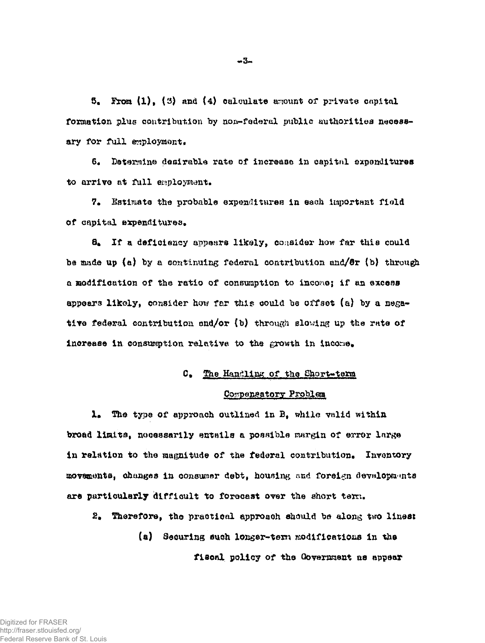$5.$  From  $(1)$ ,  $(3)$  and  $(4)$  calculate amount of private capital formation plus contribution by non-federal public authorities necessary for full employment.

6. Determine desirable rate of increase in capital expenditures to arrive at full employment.

7. Estimate the probable expenditures in each important field of capital expenditures.

8. If a deficiency appears likely, consider how far this could be made up (a) by a continuing federal contribution and/ $\theta$ r (b) through a modification of the ratio of consumption to income; if an excess appears likely, consider how far this could be offset (a) by a negative federal contribution and/or (b) through slowing up the rate of increase in consumption relative to the growth in income.

# C. The Handling of the Short-term

#### Compensatory Problem

1. The type of approach outlined in B, while valid within broad limits, necessarily entails a possible margin of error large in relation to the magnitude of the federal contribution. Inventory movements, changes in consumer debt, housing and foreign developments are particularly difficult to forecast over the short term.

2. Therefore, the practical approach should be along two lines: (a) Securing such longer-term modifications in the fiscal policy of the Government ns appear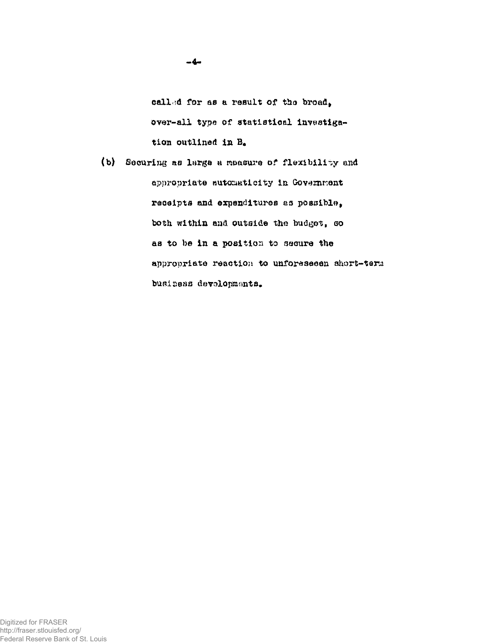called for as a result of the broad, over-all type of statistical Investigation outlined in B.

(b) Securing ae large a measure of flexibility and appropriate automaticity in Government receipts and expenditures as possible, both within and outside the budget, so as to be in a position to secure the appropriate reaction to unforeseeen short-tana business devalopments.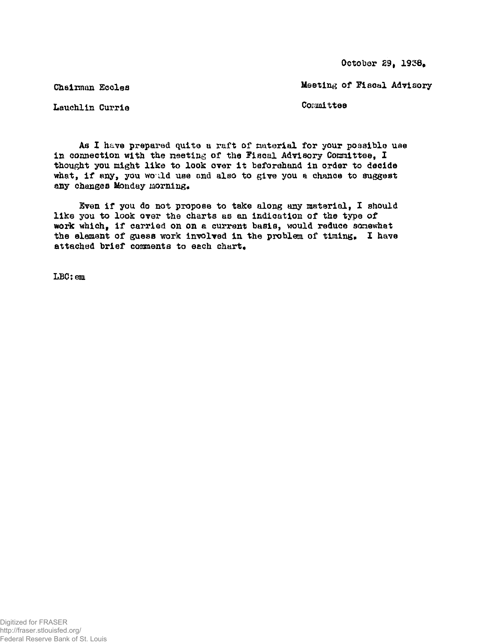October 29, 1938.

Chairman Eccles

Meeting of Fiscal Advisory

Lauehlin Currie

Committee

As X have prepared quite a raft of material for your possible use in connection with the meeting of the Fiscal Advisory Conmittee, I thought you might like to look over it beforehand in order to decide what, if any, you would use and also to give you a chance to suggest any changes Monday morning.

Even if you do not propose to take along any material, I should like you to look over the charts as an indication of the type of work which, if carried on on a current basis, would reduce sonewhat the element of guess work involved in the problem of timing. I have attached brief comments to each chart.

LBC:em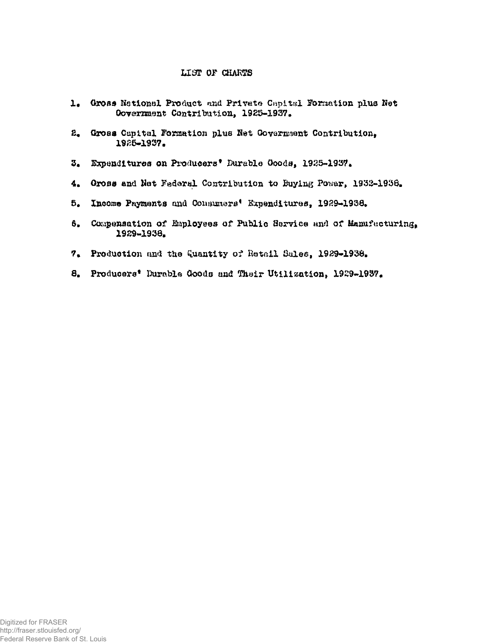# LIST OF CHARTS

- 1. Gross National Product and Private Capital Formation plus Net Oovernment Contribution, 1925-1937.
- $E_{\bullet}$ Gross Capital Formation plus Net Government Contribution, 1925-1937.
- Expenditures on Producers' Durable Goods, 1925-1937.  $3.$
- $4.1$ Gross and Net Federal Contribution to Buying Power, 1932-1938.
- $5.$ Income Payments and Consumers' Expenditures, 1929-1938.
- Compensation of Employees of Public Service and of Manufacturing, 6. 1929-1938.
- 7. Production and the Quantity of Retail Sales, 1929-1938.
- 8. Producers' Durable Goods and Their Utilization, 1929-1937.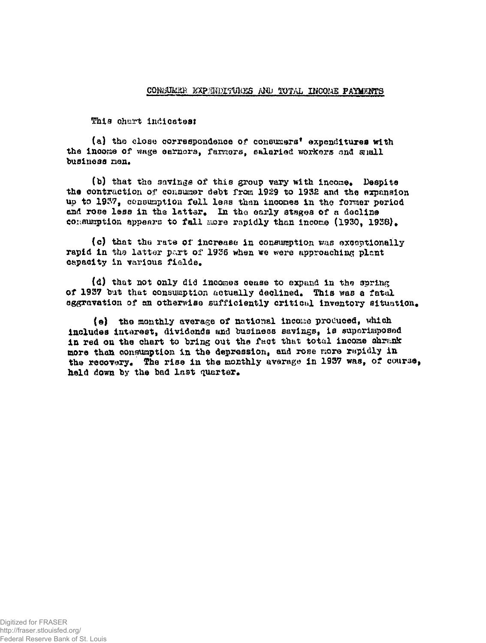#### CONSUMER EXPEDITURES AND TOTAL INCOME PAYMENTS

This chart indicates:

(a) the close correspondence of consumers' expenditures with the income of wage carners, farmers, salaried workers and small business men.

(b) that the savings of this group vary with income. Despite the contraction of consumer debt from 1929 to 1932 and the expansion up to 1937, consumption fell less then incomes in the former period and rose less in the latter. In the early stages of a decline consumption appears to fall more rapidly than income (1930, 1938).

(c) that the rate of increase in consumption was exceptionally rapid in the latter part of 1936 when we were approaching plant capacity in various fields.

(d) that not only did incomes cease to expand in the spring of 1937 but that consumption actually declined. This was a fatal aggravation of an otherwise sufficiently critical inventory situation.

(e) the monthly average of national income produced, which includes interest, dividends and business savings, is superimposed in red on the chart to bring out the fact that total income shrank more than consumption in the depression, and rose more rapidly in the recovery. The rise in the monthly average in 1937 was, of course, held down by the bad last quarter.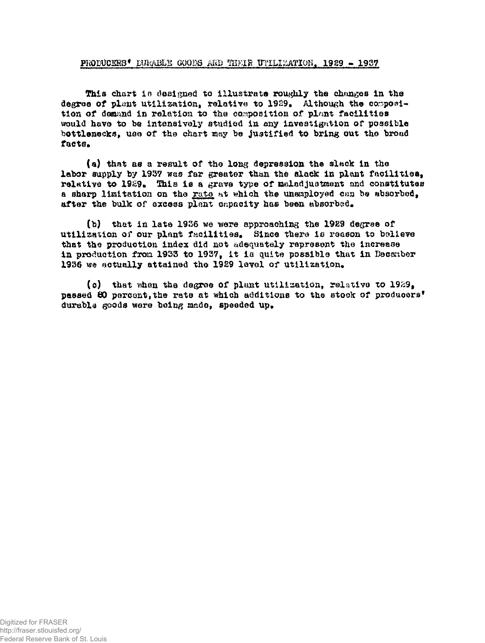#### PRODUCERS\* INDABLE GOODS AKD THEIR UTILIZATION. 1929 - 1937

This chart is designed to illustrate roughly the changes in the degree of plant utilization, relative to 1929. Although the composition of domand in relation to the composition of plant facilities would have to be intensively studied in any investigation of possible bottlenecks, use of the chart may be justified to bring out the broad facts.

(a) that as a result of the long depression the slack in the labor supply by 1937 was far greater than the slack in plant facilities, relative to 1989. This is a grave type of malad justment and constitutes a sharp limitation on the rate at which the unemployed can be absorbed, after the bulk of excess plant capacity has been absorbed.

(b) that in late 1986 we were approaching the 1929 degree of utilization of our plant facilities. Since there is reason to believe that the production index did not adequately represent the increase in production from 1933 to 1937, it la quite possible that in December 1936 we actually attained the 1929 level of utilization.

(c) that when the degree of plant utilization, relative to 1929, passed 60 percent,the rate at which additions to the stock of producers\* durable goods were being made, speeded up.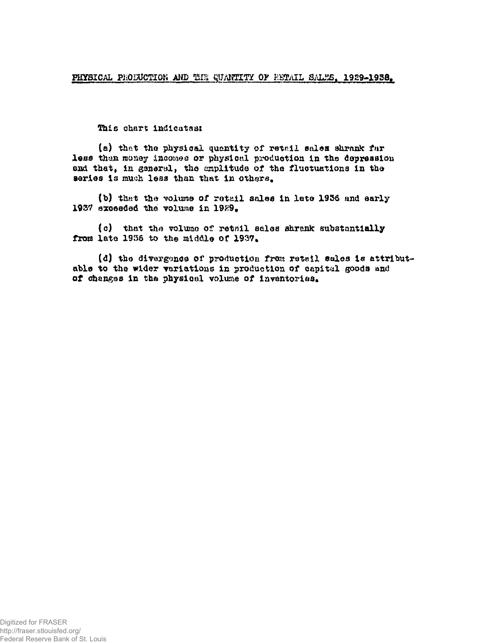This chart indicates:

(a) that the physical quantity of retail sales shrank far less than money incomes or physical production in the depression end that, in general, the amplitude of the fluctuations In the series is much less than that in others.

(b) that the volume of retail sales in late 1936 and early 1937 exceeded the volume in 1929.

{o) that the volume of retail eales shrank substantially from late 1936 to the middle of 1937.

(d) the divergence of production from retail sales is attributable to the wider variations in production of capital goods and of changes in the physical volume of inventories.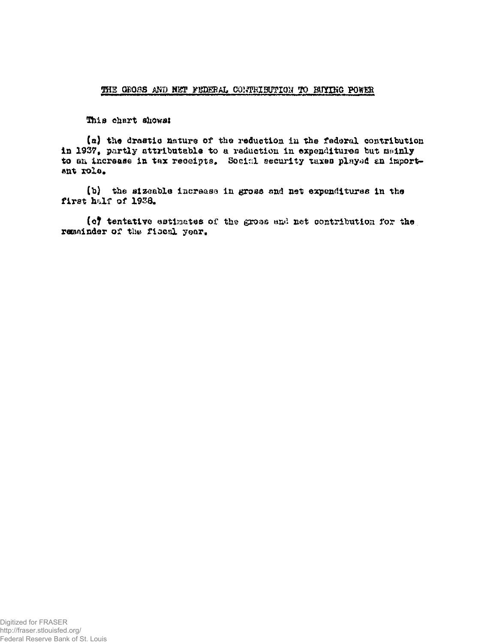#### THE GROSS AND NET FEDERAL CONTRIBUTION TO BUYING POWER

This chart shows:

(a) the drastic nature of the reduction in the federal contribution in 1937, partly attributable to a reduction in expenditures but meinly to an increase in tax receipts. Social security taxes played an important role.

(b) the sizeable increase in gross and net expenditures in the first half of 1938.

(c) tentative estimates of the gross and net contribution for the remainder of the fiscal year.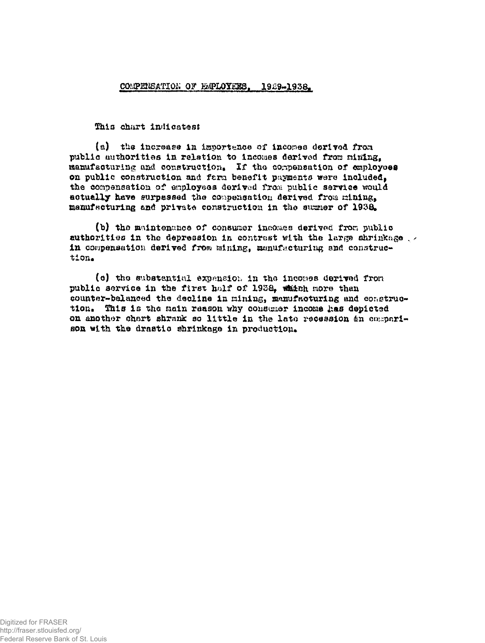# COMPERSATION OF EMPLOYEES. 1929-1938.

Ihis chart indicates:

(a) the increase in importance of incomes derived from public authorities in relation to Incomes derived from mining, manufacturing and construction. If the compensation of employees on public construction and ferm benefit payments were included, the compensation of employees derived from public service would actually have surpassed the compensation derived from mining. manufacturing and private construction in the sugmer of 1938.

(b) the maintenance of consumer inaomee derived fxon publio authorities in the depression in contrast with the large shrinkage  $\sim$ in compensation derived from mining, manufacturing and construction\*

(c) the substantial expansion in the incomes derived fron public service in the first half of 1938, which more than counter-balanced the decline In mining, manufacturing and construction. This is the main reason why consumer income has depicted on another chart shrank so little in the late recession an comparison with the drastic shrinkage in production.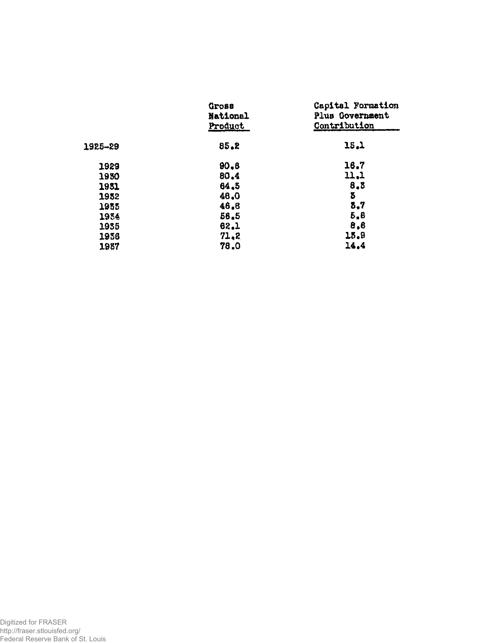|         | Gross<br>National<br>Product | Capital Formation<br>Plus Government<br>Contribution |
|---------|------------------------------|------------------------------------------------------|
| 1925-29 | 85.2                         | 15.1                                                 |
| 1929    | 90, 6                        | 16.7                                                 |
| 1930    | 80.4                         | 11.1                                                 |
| 1951    | 64.5                         | 8,3                                                  |
| 1952    | 48.0                         | 3                                                    |
| 1955    | 46.8                         | 5,7                                                  |
| 1954    | 56.5                         | 5,6                                                  |
| 1955    | 62.1                         | 8,8                                                  |
| 1936    | 71,2                         | 15.9                                                 |
| 1937    | 78.0                         | 14.4                                                 |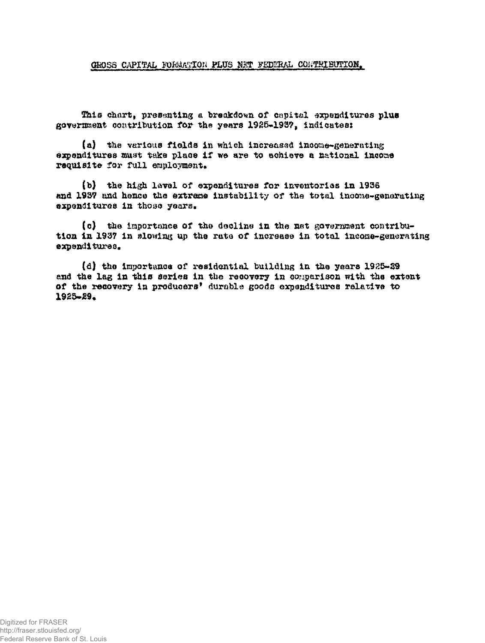GROSS CAPITAL FORMATION PLUS NET FEDERAL CONTRIBUTION.

This chart, presenting a breakdown of cepital expenditures plus government contribution for the years 1925-1937, indicates:

(a) the various fields in which increased income-generating expenditures must take place if we are to achieve a national income requisite for full employment.

(b) the high lavel of expenditures for inventories in 1936 and 1937 and hence the extreme instability of the total income-generating expenditures in those years.

(c) the importance of the decline in the net government contribution in 1937 in slowing up the rate of increase in total income-generating expenditures.

(d) the importance of residential building in the years 1925-29 and the lag in this series in the recovery in comparison with the extent of the recovery in producers' durable goods expenditures relative to 1925-29.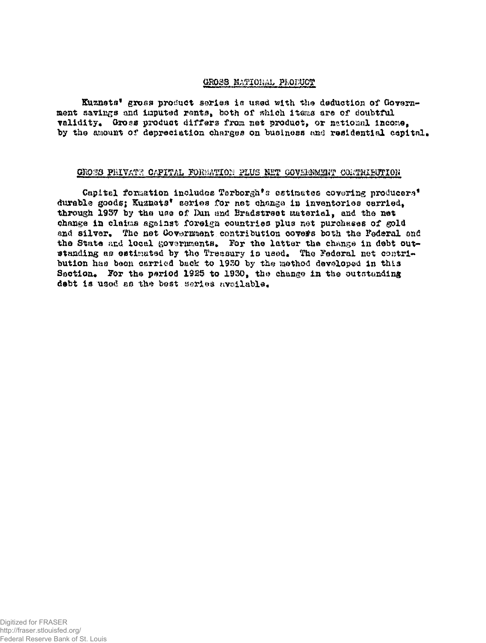# GROSS MATIOBAL PRODUCT

Kuznets\* gross product series is used with the deduction of Government savings and imputed rants, both of which items are of doubtful validity. Gross product differs from net product, or national income, by the amount of depreciation charges on business and residential capital.

#### GROSS PRIVATE CAPITAL FORMATION PLUS NET GOVERNMENT COMTRIBUTION

Capital formation includes Terborgh's estimates covering producers' durable goods; Kuznets\* series for net change in inventories carried. through 1937 by the *mm of* Dan and Bradstreet **Material,** and the net change in claiua against foreign countries plus net purchases of gold and silver. The net Govarmment contribution covers both the Federal and the State and local governments. For the latter the change in debt outstanding as estimated by the Treasury is used. The Federal net contribution has been carried back to 19250 by. the method developed in this Section. For the period 1925 to 1930, the change in the outstanding debt is used as the best series available.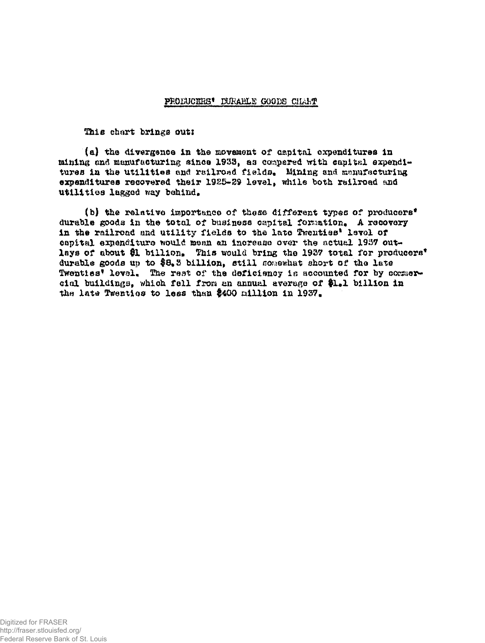### PRODUCHES\* DURABLE GOODS CILLET

This chart brings out:

(a) the divergence in the movement of capital expenditures in mining and manufacturing since 1933, as compared with capital expenditures in the utilities and railroad fields. Mining and manufacturing expenditures recovered their 1925-29 level, while both railroad and utilities legged way behind,

(b) the relative importance of these different types of producers<sup>\*</sup> durable goods in the total of business capital formation. A recovery in the railroad and utility fields to the late Twenties' level of capital expenditure would mean an increase over the actual 1937 outlays of about \$1 billion. This would bring the 1937 total for producers' durable goods up to \$8.3 billion, still somewhat short of the late Twenties\* level. The rest of the deficiency is accounted for by cossuercial buildings, which fell from an annual average of \$1.1 billion in the late Twenties to less than \$400 million in 1937.